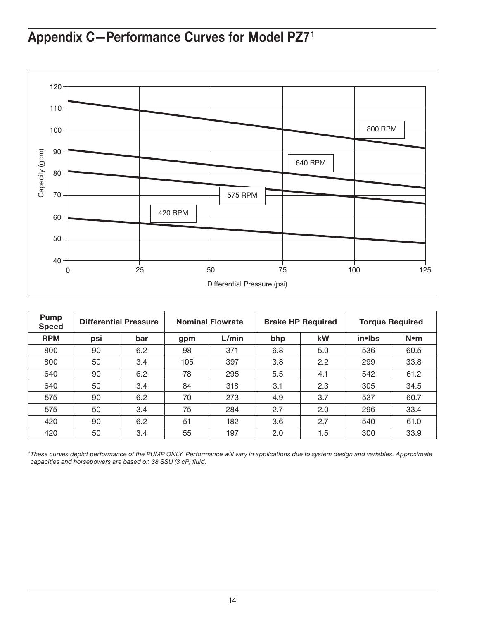## Appendix C—Performance Curves for Model PZ7 1



| <b>Pump</b><br><b>Speed</b> | <b>Differential Pressure</b> |     | <b>Nominal Flowrate</b> |       | <b>Brake HP Required</b> |     | <b>Torque Required</b> |             |
|-----------------------------|------------------------------|-----|-------------------------|-------|--------------------------|-----|------------------------|-------------|
| <b>RPM</b>                  | psi                          | bar | gpm                     | L/min | bhp                      | kW  | in•lbs                 | $N \cdot m$ |
| 800                         | 90                           | 6.2 | 98                      | 371   | 6.8                      | 5.0 | 536                    | 60.5        |
| 800                         | 50                           | 3.4 | 105                     | 397   | 3.8                      | 2.2 | 299                    | 33.8        |
| 640                         | 90                           | 6.2 | 78                      | 295   | 5.5                      | 4.1 | 542                    | 61.2        |
| 640                         | 50                           | 3.4 | 84                      | 318   | 3.1                      | 2.3 | 305                    | 34.5        |
| 575                         | 90                           | 6.2 | 70                      | 273   | 4.9                      | 3.7 | 537                    | 60.7        |
| 575                         | 50                           | 3.4 | 75                      | 284   | 2.7                      | 2.0 | 296                    | 33.4        |
| 420                         | 90                           | 6.2 | 51                      | 182   | 3.6                      | 2.7 | 540                    | 61.0        |
| 420                         | 50                           | 3.4 | 55                      | 197   | 2.0                      | 1.5 | 300                    | 33.9        |

<sup>1</sup>These curves depict performance of the PUMP ONLY. Performance will vary in applications due to system design and variables. Approximate *capacities and horsepowers are based on 38 SSU (3 cP) fluid.*